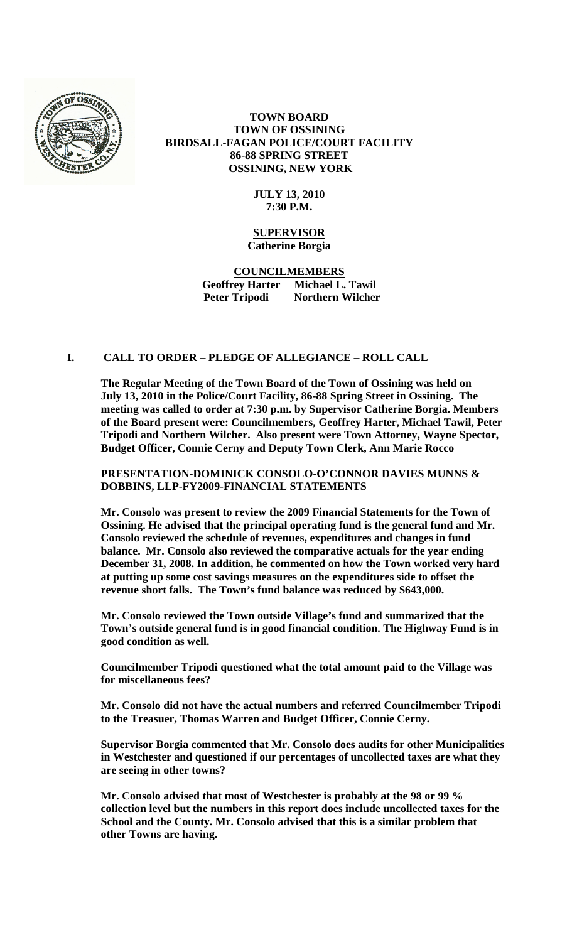

# **TOWN BOARD TOWN OF OSSINING BIRDSALL-FAGAN POLICE/COURT FACILITY 86-88 SPRING STREET OSSINING, NEW YORK**

### **JULY 13, 2010 7:30 P.M.**

### **SUPERVISOR Catherine Borgia**

**COUNCILMEMBERS Geoffrey Harter Michael L. Tawil Peter Tripodi Northern Wilcher**

## **I. CALL TO ORDER – PLEDGE OF ALLEGIANCE – ROLL CALL**

**The Regular Meeting of the Town Board of the Town of Ossining was held on July 13, 2010 in the Police/Court Facility, 86-88 Spring Street in Ossining. The meeting was called to order at 7:30 p.m. by Supervisor Catherine Borgia. Members of the Board present were: Councilmembers, Geoffrey Harter, Michael Tawil, Peter Tripodi and Northern Wilcher. Also present were Town Attorney, Wayne Spector, Budget Officer, Connie Cerny and Deputy Town Clerk, Ann Marie Rocco**

**PRESENTATION-DOMINICK CONSOLO-O'CONNOR DAVIES MUNNS & DOBBINS, LLP-FY2009-FINANCIAL STATEMENTS**

**Mr. Consolo was present to review the 2009 Financial Statements for the Town of Ossining. He advised that the principal operating fund is the general fund and Mr. Consolo reviewed the schedule of revenues, expenditures and changes in fund balance. Mr. Consolo also reviewed the comparative actuals for the year ending December 31, 2008. In addition, he commented on how the Town worked very hard at putting up some cost savings measures on the expenditures side to offset the revenue short falls. The Town's fund balance was reduced by \$643,000.** 

**Mr. Consolo reviewed the Town outside Village's fund and summarized that the Town's outside general fund is in good financial condition. The Highway Fund is in good condition as well.**

**Councilmember Tripodi questioned what the total amount paid to the Village was for miscellaneous fees?**

**Mr. Consolo did not have the actual numbers and referred Councilmember Tripodi to the Treasuer, Thomas Warren and Budget Officer, Connie Cerny.**

**Supervisor Borgia commented that Mr. Consolo does audits for other Municipalities in Westchester and questioned if our percentages of uncollected taxes are what they are seeing in other towns?** 

**Mr. Consolo advised that most of Westchester is probably at the 98 or 99 % collection level but the numbers in this report does include uncollected taxes for the School and the County. Mr. Consolo advised that this is a similar problem that other Towns are having.**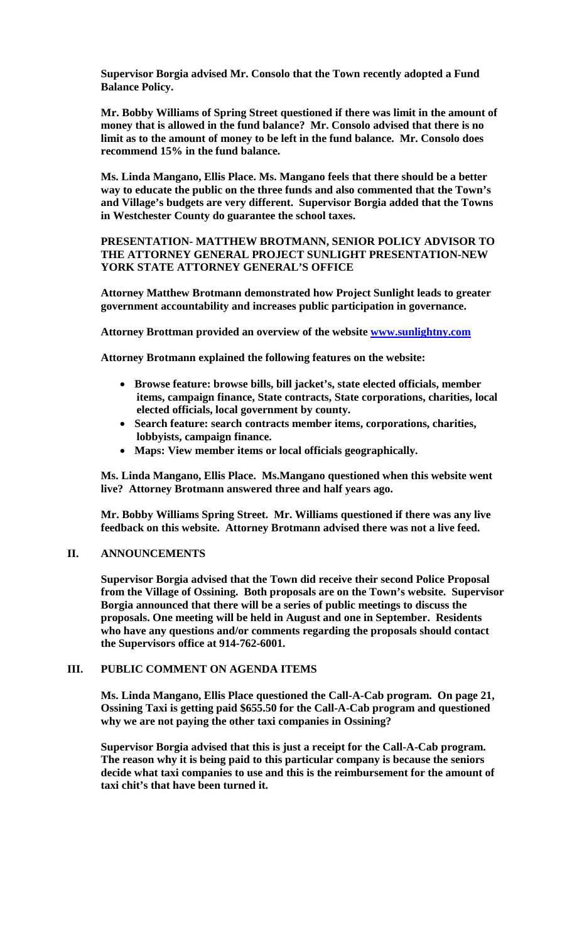**Supervisor Borgia advised Mr. Consolo that the Town recently adopted a Fund Balance Policy.**

**Mr. Bobby Williams of Spring Street questioned if there was limit in the amount of money that is allowed in the fund balance? Mr. Consolo advised that there is no limit as to the amount of money to be left in the fund balance. Mr. Consolo does recommend 15% in the fund balance.** 

**Ms. Linda Mangano, Ellis Place. Ms. Mangano feels that there should be a better way to educate the public on the three funds and also commented that the Town's and Village's budgets are very different. Supervisor Borgia added that the Towns in Westchester County do guarantee the school taxes.**

**PRESENTATION- MATTHEW BROTMANN, SENIOR POLICY ADVISOR TO THE ATTORNEY GENERAL PROJECT SUNLIGHT PRESENTATION-NEW YORK STATE ATTORNEY GENERAL'S OFFICE**

**Attorney Matthew Brotmann demonstrated how Project Sunlight leads to greater government accountability and increases public participation in governance.** 

**Attorney Brottman provided an overview of the website [www.sunlightny.com](http://www.sunlightny.com/)**

**Attorney Brotmann explained the following features on the website:**

- **Browse feature: browse bills, bill jacket's, state elected officials, member items, campaign finance, State contracts, State corporations, charities, local elected officials, local government by county.**
- **Search feature: search contracts member items, corporations, charities, lobbyists, campaign finance.**
- **Maps: View member items or local officials geographically.**

**Ms. Linda Mangano, Ellis Place. Ms.Mangano questioned when this website went live? Attorney Brotmann answered three and half years ago.**

**Mr. Bobby Williams Spring Street. Mr. Williams questioned if there was any live feedback on this website. Attorney Brotmann advised there was not a live feed.**

#### **II. ANNOUNCEMENTS**

**Supervisor Borgia advised that the Town did receive their second Police Proposal from the Village of Ossining. Both proposals are on the Town's website. Supervisor Borgia announced that there will be a series of public meetings to discuss the proposals. One meeting will be held in August and one in September. Residents who have any questions and/or comments regarding the proposals should contact the Supervisors office at 914-762-6001.**

## **III. PUBLIC COMMENT ON AGENDA ITEMS**

**Ms. Linda Mangano, Ellis Place questioned the Call-A-Cab program. On page 21, Ossining Taxi is getting paid \$655.50 for the Call-A-Cab program and questioned why we are not paying the other taxi companies in Ossining?**

**Supervisor Borgia advised that this is just a receipt for the Call-A-Cab program. The reason why it is being paid to this particular company is because the seniors decide what taxi companies to use and this is the reimbursement for the amount of taxi chit's that have been turned it.**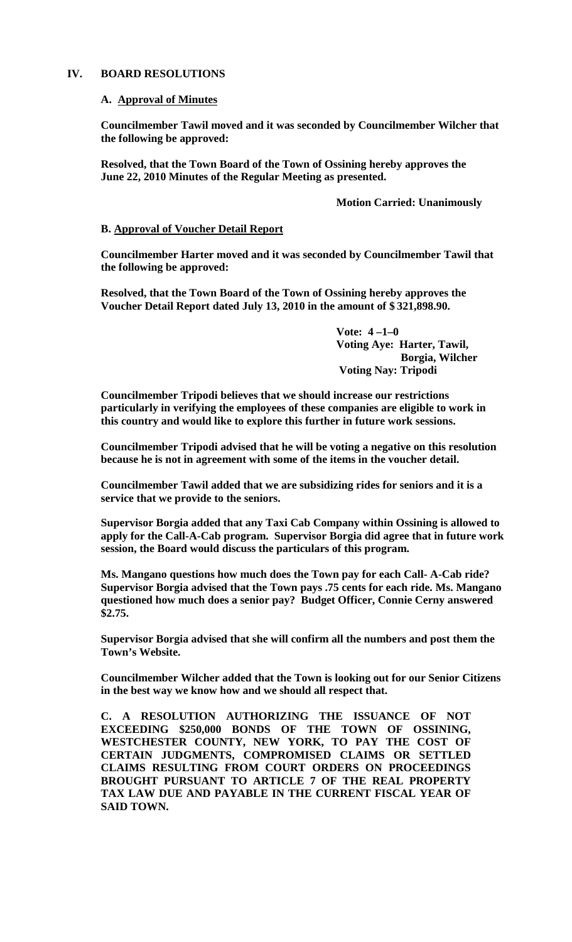### **IV. BOARD RESOLUTIONS**

#### **A. Approval of Minutes**

**Councilmember Tawil moved and it was seconded by Councilmember Wilcher that the following be approved:**

**Resolved, that the Town Board of the Town of Ossining hereby approves the June 22, 2010 Minutes of the Regular Meeting as presented.**

### **Motion Carried: Unanimously**

### **B. Approval of Voucher Detail Report**

**Councilmember Harter moved and it was seconded by Councilmember Tawil that the following be approved:**

**Resolved, that the Town Board of the Town of Ossining hereby approves the Voucher Detail Report dated July 13, 2010 in the amount of \$ 321,898.90.**

> **Vote: 4 –1–0 Voting Aye: Harter, Tawil, Borgia, Wilcher Voting Nay: Tripodi**

**Councilmember Tripodi believes that we should increase our restrictions particularly in verifying the employees of these companies are eligible to work in this country and would like to explore this further in future work sessions.** 

**Councilmember Tripodi advised that he will be voting a negative on this resolution because he is not in agreement with some of the items in the voucher detail.**

**Councilmember Tawil added that we are subsidizing rides for seniors and it is a service that we provide to the seniors.**

**Supervisor Borgia added that any Taxi Cab Company within Ossining is allowed to apply for the Call-A-Cab program. Supervisor Borgia did agree that in future work session, the Board would discuss the particulars of this program.**

**Ms. Mangano questions how much does the Town pay for each Call- A-Cab ride? Supervisor Borgia advised that the Town pays .75 cents for each ride. Ms. Mangano questioned how much does a senior pay? Budget Officer, Connie Cerny answered \$2.75.**

**Supervisor Borgia advised that she will confirm all the numbers and post them the Town's Website.**

**Councilmember Wilcher added that the Town is looking out for our Senior Citizens in the best way we know how and we should all respect that.** 

**C. A RESOLUTION AUTHORIZING THE ISSUANCE OF NOT EXCEEDING \$250,000 BONDS OF THE TOWN OF OSSINING, WESTCHESTER COUNTY, NEW YORK, TO PAY THE COST OF CERTAIN JUDGMENTS, COMPROMISED CLAIMS OR SETTLED CLAIMS RESULTING FROM COURT ORDERS ON PROCEEDINGS BROUGHT PURSUANT TO ARTICLE 7 OF THE REAL PROPERTY TAX LAW DUE AND PAYABLE IN THE CURRENT FISCAL YEAR OF SAID TOWN.**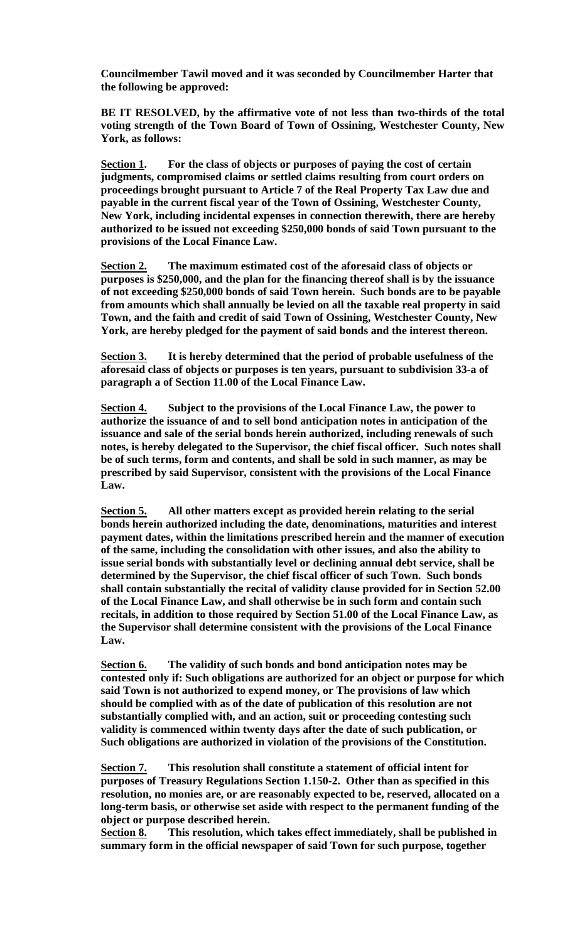**Councilmember Tawil moved and it was seconded by Councilmember Harter that the following be approved:**

**BE IT RESOLVED, by the affirmative vote of not less than two-thirds of the total voting strength of the Town Board of Town of Ossining, Westchester County, New York, as follows:**

**Section 1. For the class of objects or purposes of paying the cost of certain judgments, compromised claims or settled claims resulting from court orders on proceedings brought pursuant to Article 7 of the Real Property Tax Law due and payable in the current fiscal year of the Town of Ossining, Westchester County, New York, including incidental expenses in connection therewith, there are hereby authorized to be issued not exceeding \$250,000 bonds of said Town pursuant to the provisions of the Local Finance Law.** 

**Section 2. The maximum estimated cost of the aforesaid class of objects or purposes is \$250,000, and the plan for the financing thereof shall is by the issuance of not exceeding \$250,000 bonds of said Town herein. Such bonds are to be payable from amounts which shall annually be levied on all the taxable real property in said Town, and the faith and credit of said Town of Ossining, Westchester County, New York, are hereby pledged for the payment of said bonds and the interest thereon.**

**Section 3. It is hereby determined that the period of probable usefulness of the aforesaid class of objects or purposes is ten years, pursuant to subdivision 33-a of paragraph a of Section 11.00 of the Local Finance Law.**

**Section 4. Subject to the provisions of the Local Finance Law, the power to authorize the issuance of and to sell bond anticipation notes in anticipation of the issuance and sale of the serial bonds herein authorized, including renewals of such notes, is hereby delegated to the Supervisor, the chief fiscal officer. Such notes shall be of such terms, form and contents, and shall be sold in such manner, as may be prescribed by said Supervisor, consistent with the provisions of the Local Finance Law.**

**Section 5. All other matters except as provided herein relating to the serial bonds herein authorized including the date, denominations, maturities and interest payment dates, within the limitations prescribed herein and the manner of execution of the same, including the consolidation with other issues, and also the ability to issue serial bonds with substantially level or declining annual debt service, shall be determined by the Supervisor, the chief fiscal officer of such Town. Such bonds shall contain substantially the recital of validity clause provided for in Section 52.00 of the Local Finance Law, and shall otherwise be in such form and contain such recitals, in addition to those required by Section 51.00 of the Local Finance Law, as the Supervisor shall determine consistent with the provisions of the Local Finance Law.**

**Section 6. The validity of such bonds and bond anticipation notes may be contested only if: Such obligations are authorized for an object or purpose for which said Town is not authorized to expend money, or The provisions of law which should be complied with as of the date of publication of this resolution are not substantially complied with, and an action, suit or proceeding contesting such validity is commenced within twenty days after the date of such publication, or Such obligations are authorized in violation of the provisions of the Constitution.**

**Section 7. This resolution shall constitute a statement of official intent for purposes of Treasury Regulations Section 1.150-2. Other than as specified in this resolution, no monies are, or are reasonably expected to be, reserved, allocated on a long-term basis, or otherwise set aside with respect to the permanent funding of the object or purpose described herein.**

**Section 8. This resolution, which takes effect immediately, shall be published in summary form in the official newspaper of said Town for such purpose, together**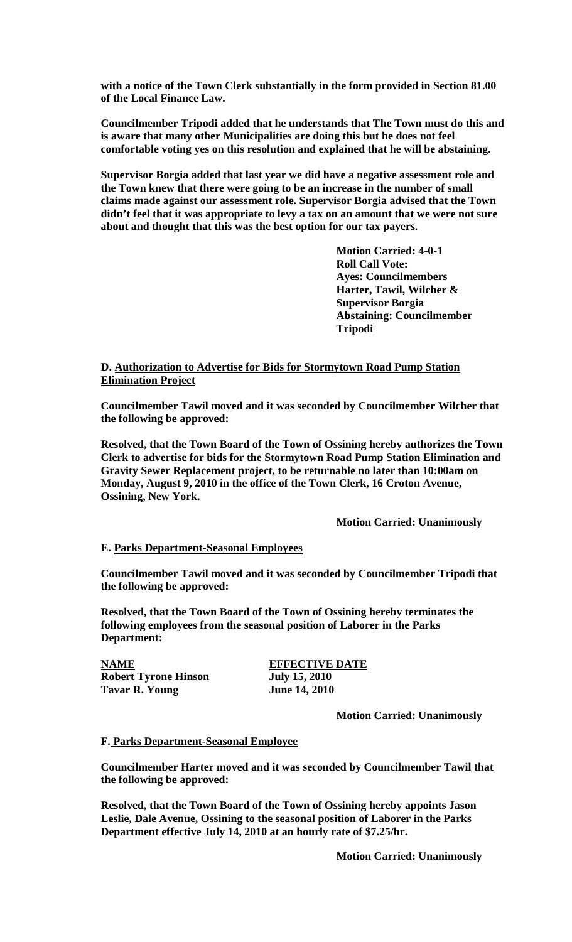**with a notice of the Town Clerk substantially in the form provided in Section 81.00 of the Local Finance Law.**

**Councilmember Tripodi added that he understands that The Town must do this and is aware that many other Municipalities are doing this but he does not feel comfortable voting yes on this resolution and explained that he will be abstaining.**

**Supervisor Borgia added that last year we did have a negative assessment role and the Town knew that there were going to be an increase in the number of small claims made against our assessment role. Supervisor Borgia advised that the Town didn't feel that it was appropriate to levy a tax on an amount that we were not sure about and thought that this was the best option for our tax payers.**

> **Motion Carried: 4-0-1 Roll Call Vote: Ayes: Councilmembers Harter, Tawil, Wilcher & Supervisor Borgia Abstaining: Councilmember Tripodi**

# **D. Authorization to Advertise for Bids for Stormytown Road Pump Station Elimination Project**

**Councilmember Tawil moved and it was seconded by Councilmember Wilcher that the following be approved:**

**Resolved, that the Town Board of the Town of Ossining hereby authorizes the Town Clerk to advertise for bids for the Stormytown Road Pump Station Elimination and Gravity Sewer Replacement project, to be returnable no later than 10:00am on Monday, August 9, 2010 in the office of the Town Clerk, 16 Croton Avenue, Ossining, New York.**

**Motion Carried: Unanimously**

## **E. Parks Department-Seasonal Employees**

**Councilmember Tawil moved and it was seconded by Councilmember Tripodi that the following be approved:**

**Resolved, that the Town Board of the Town of Ossining hereby terminates the following employees from the seasonal position of Laborer in the Parks Department:**

**NAME**<br> **Robert Tyrone Hinson**<br> **EFFECTIVE DATE**<br> **Iuly 15, 2010 Robert Tyrone Hinson July 15, 2010 Tavar R. Young** 

**Motion Carried: Unanimously**

#### **F. Parks Department-Seasonal Employee**

**Councilmember Harter moved and it was seconded by Councilmember Tawil that the following be approved:**

**Resolved, that the Town Board of the Town of Ossining hereby appoints Jason Leslie, Dale Avenue, Ossining to the seasonal position of Laborer in the Parks Department effective July 14, 2010 at an hourly rate of \$7.25/hr.**

**Motion Carried: Unanimously**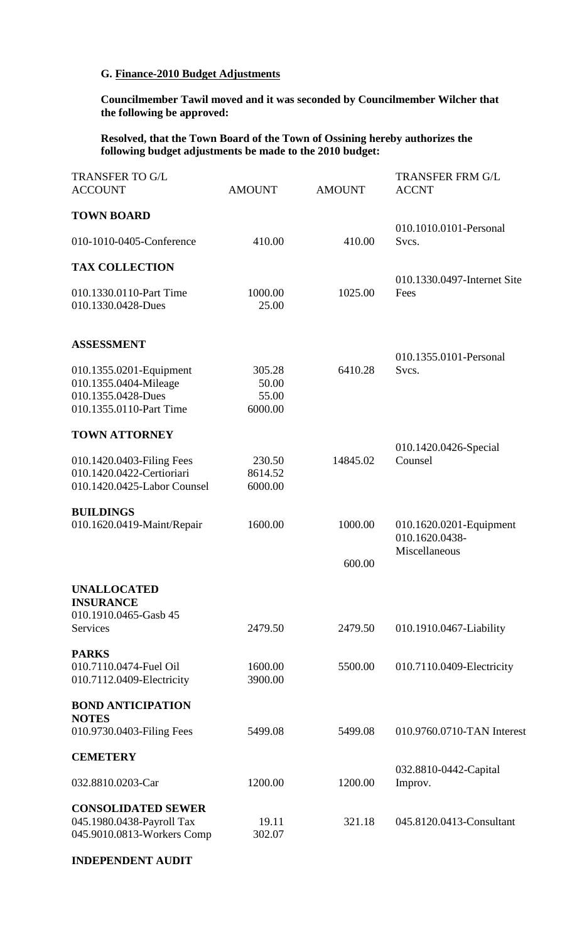# **G. Finance-2010 Budget Adjustments**

**Councilmember Tawil moved and it was seconded by Councilmember Wilcher that the following be approved:**

**Resolved, that the Town Board of the Town of Ossining hereby authorizes the following budget adjustments be made to the 2010 budget:**

| <b>TRANSFER TO G/L</b><br><b>ACCOUNT</b>                                                          | <b>AMOUNT</b>                       | <b>AMOUNT</b> | <b>TRANSFER FRM G/L</b><br><b>ACCNT</b>                    |  |
|---------------------------------------------------------------------------------------------------|-------------------------------------|---------------|------------------------------------------------------------|--|
| <b>TOWN BOARD</b>                                                                                 |                                     |               |                                                            |  |
| 010-1010-0405-Conference                                                                          | 410.00                              | 410.00        | 010.1010.0101-Personal<br>Svcs.                            |  |
| <b>TAX COLLECTION</b>                                                                             |                                     |               |                                                            |  |
| 010.1330.0110-Part Time<br>010.1330.0428-Dues                                                     | 1000.00<br>25.00                    | 1025.00       | 010.1330.0497-Internet Site<br>Fees                        |  |
| <b>ASSESSMENT</b>                                                                                 |                                     |               |                                                            |  |
| 010.1355.0201-Equipment<br>010.1355.0404-Mileage<br>010.1355.0428-Dues<br>010.1355.0110-Part Time | 305.28<br>50.00<br>55.00<br>6000.00 | 6410.28       | 010.1355.0101-Personal<br>Svcs.                            |  |
| <b>TOWN ATTORNEY</b>                                                                              |                                     |               | 010.1420.0426-Special                                      |  |
| 010.1420.0403-Filing Fees<br>010.1420.0422-Certioriari<br>010.1420.0425-Labor Counsel             | 230.50<br>8614.52<br>6000.00        | 14845.02      | Counsel                                                    |  |
| <b>BUILDINGS</b><br>010.1620.0419-Maint/Repair                                                    | 1600.00                             | 1000.00       | 010.1620.0201-Equipment<br>010.1620.0438-<br>Miscellaneous |  |
|                                                                                                   |                                     | 600.00        |                                                            |  |
| <b>UNALLOCATED</b><br><b>INSURANCE</b><br>010.1910.0465-Gasb 45<br>Services                       | 2479.50                             | 2479.50       | 010.1910.0467-Liability                                    |  |
| <b>PARKS</b>                                                                                      |                                     |               |                                                            |  |
| 010.7110.0474-Fuel Oil<br>010.7112.0409-Electricity                                               | 1600.00<br>3900.00                  | 5500.00       | 010.7110.0409-Electricity                                  |  |
| <b>BOND ANTICIPATION</b><br><b>NOTES</b>                                                          |                                     |               |                                                            |  |
| 010.9730.0403-Filing Fees                                                                         | 5499.08                             | 5499.08       | 010.9760.0710-TAN Interest                                 |  |
| <b>CEMETERY</b>                                                                                   |                                     |               |                                                            |  |
| 032.8810.0203-Car                                                                                 | 1200.00                             | 1200.00       | 032.8810-0442-Capital<br>Improv.                           |  |
| <b>CONSOLIDATED SEWER</b><br>045.1980.0438-Payroll Tax<br>045.9010.0813-Workers Comp              | 19.11<br>302.07                     | 321.18        | 045.8120.0413-Consultant                                   |  |

**INDEPENDENT AUDIT**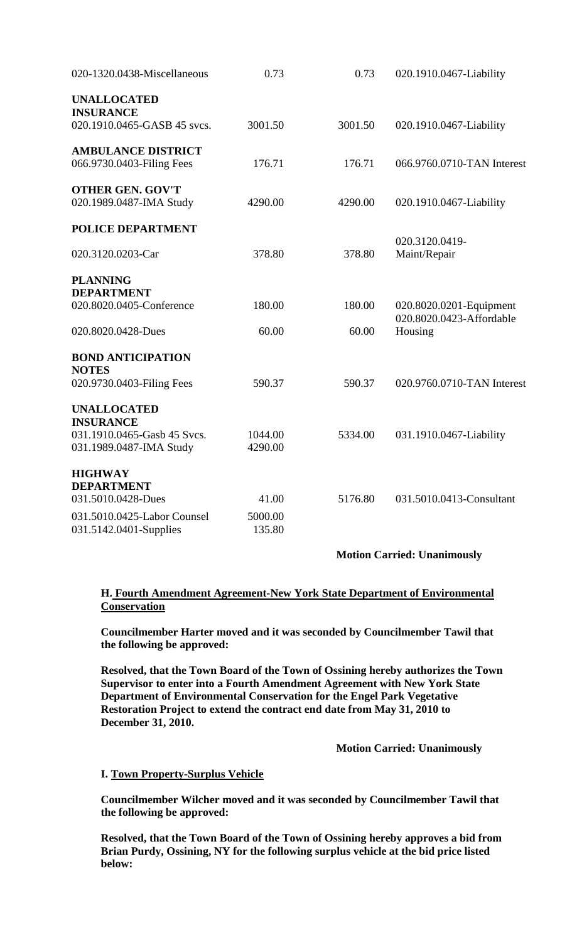| 020-1320.0438-Miscellaneous                     | 0.73    | 0.73    | 020.1910.0467-Liability                             |
|-------------------------------------------------|---------|---------|-----------------------------------------------------|
| <b>UNALLOCATED</b>                              |         |         |                                                     |
| <b>INSURANCE</b><br>020.1910.0465-GASB 45 svcs. | 3001.50 | 3001.50 | 020.1910.0467-Liability                             |
| <b>AMBULANCE DISTRICT</b>                       |         |         |                                                     |
| 066.9730.0403-Filing Fees                       | 176.71  | 176.71  | 066.9760.0710-TAN Interest                          |
| <b>OTHER GEN. GOV'T</b>                         |         |         |                                                     |
| 020.1989.0487-IMA Study                         | 4290.00 | 4290.00 | 020.1910.0467-Liability                             |
| <b>POLICE DEPARTMENT</b>                        |         |         |                                                     |
| 020.3120.0203-Car                               | 378.80  | 378.80  | 020.3120.0419-<br>Maint/Repair                      |
| <b>PLANNING</b>                                 |         |         |                                                     |
| <b>DEPARTMENT</b>                               |         |         |                                                     |
| 020.8020.0405-Conference                        | 180.00  | 180.00  | 020.8020.0201-Equipment<br>020.8020.0423-Affordable |
| 020.8020.0428-Dues                              | 60.00   | 60.00   | Housing                                             |
| <b>BOND ANTICIPATION</b>                        |         |         |                                                     |
| <b>NOTES</b>                                    |         |         |                                                     |
| 020.9730.0403-Filing Fees                       | 590.37  | 590.37  | 020.9760.0710-TAN Interest                          |
| <b>UNALLOCATED</b>                              |         |         |                                                     |
| <b>INSURANCE</b>                                |         |         |                                                     |
| 031.1910.0465-Gasb 45 Svcs.                     | 1044.00 | 5334.00 | 031.1910.0467-Liability                             |
| 031.1989.0487-IMA Study                         | 4290.00 |         |                                                     |
| <b>HIGHWAY</b>                                  |         |         |                                                     |
| <b>DEPARTMENT</b>                               |         |         |                                                     |
| 031.5010.0428-Dues                              | 41.00   | 5176.80 | 031.5010.0413-Consultant                            |
| 031.5010.0425-Labor Counsel                     | 5000.00 |         |                                                     |
| 031.5142.0401-Supplies                          | 135.80  |         |                                                     |
|                                                 |         |         |                                                     |

**Motion Carried: Unanimously**

# **H. Fourth Amendment Agreement-New York State Department of Environmental Conservation**

**Councilmember Harter moved and it was seconded by Councilmember Tawil that the following be approved:**

**Resolved, that the Town Board of the Town of Ossining hereby authorizes the Town Supervisor to enter into a Fourth Amendment Agreement with New York State Department of Environmental Conservation for the Engel Park Vegetative Restoration Project to extend the contract end date from May 31, 2010 to December 31, 2010.**

**Motion Carried: Unanimously**

# **I. Town Property-Surplus Vehicle**

**Councilmember Wilcher moved and it was seconded by Councilmember Tawil that the following be approved:**

**Resolved, that the Town Board of the Town of Ossining hereby approves a bid from Brian Purdy, Ossining, NY for the following surplus vehicle at the bid price listed below:**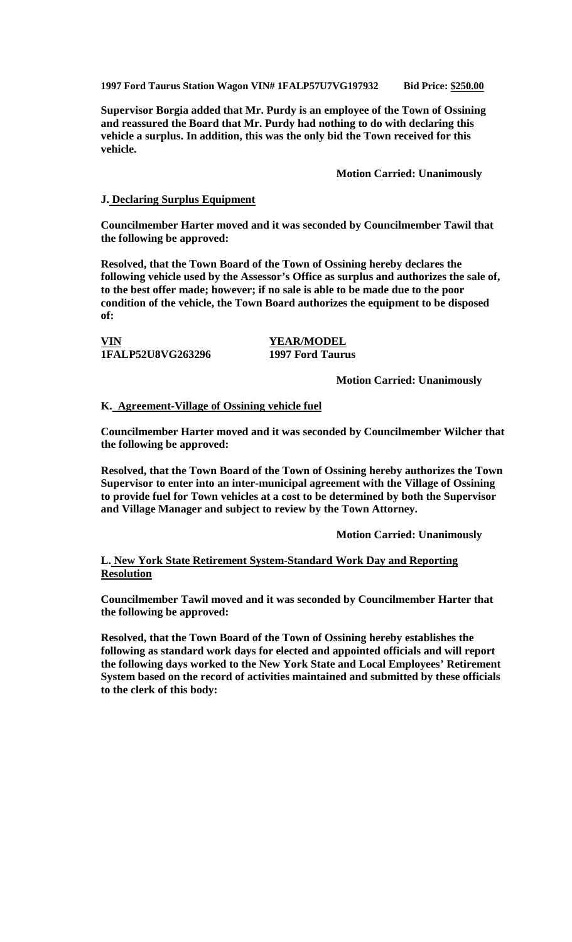**1997 Ford Taurus Station Wagon VIN# 1FALP57U7VG197932 Bid Price: \$250.00**

**Supervisor Borgia added that Mr. Purdy is an employee of the Town of Ossining and reassured the Board that Mr. Purdy had nothing to do with declaring this vehicle a surplus. In addition, this was the only bid the Town received for this vehicle.**

**Motion Carried: Unanimously**

### **J. Declaring Surplus Equipment**

**Councilmember Harter moved and it was seconded by Councilmember Tawil that the following be approved:**

**Resolved, that the Town Board of the Town of Ossining hereby declares the following vehicle used by the Assessor's Office as surplus and authorizes the sale of, to the best offer made; however; if no sale is able to be made due to the poor condition of the vehicle, the Town Board authorizes the equipment to be disposed of:**

**VIN YEAR/MODEL 1FALP52U8VG263296 1997 Ford Taurus**

**Motion Carried: Unanimously**

### **K. Agreement-Village of Ossining vehicle fuel**

**Councilmember Harter moved and it was seconded by Councilmember Wilcher that the following be approved:**

**Resolved, that the Town Board of the Town of Ossining hereby authorizes the Town Supervisor to enter into an inter-municipal agreement with the Village of Ossining to provide fuel for Town vehicles at a cost to be determined by both the Supervisor and Village Manager and subject to review by the Town Attorney.**

**Motion Carried: Unanimously**

## **L. New York State Retirement System-Standard Work Day and Reporting Resolution**

**Councilmember Tawil moved and it was seconded by Councilmember Harter that the following be approved:**

**Resolved, that the Town Board of the Town of Ossining hereby establishes the following as standard work days for elected and appointed officials and will report the following days worked to the New York State and Local Employees' Retirement System based on the record of activities maintained and submitted by these officials to the clerk of this body:**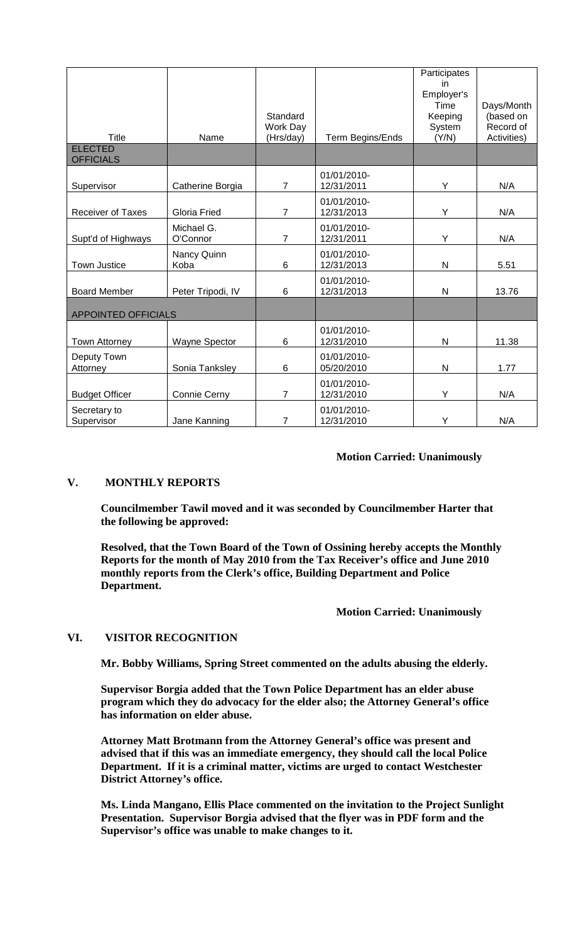|                                    |                        | Standard<br>Work Day |                           | Participates<br>in<br>Employer's<br>Time<br>Keeping<br>System | Days/Month<br>(based on<br>Record of |
|------------------------------------|------------------------|----------------------|---------------------------|---------------------------------------------------------------|--------------------------------------|
| Title                              | Name                   | (Hrs/day)            | Term Begins/Ends          | (Y/N)                                                         | Activities)                          |
| <b>ELECTED</b><br><b>OFFICIALS</b> |                        |                      |                           |                                                               |                                      |
| Supervisor                         | Catherine Borgia       | $\overline{7}$       | 01/01/2010-<br>12/31/2011 | Υ                                                             | N/A                                  |
| <b>Receiver of Taxes</b>           | <b>Gloria Fried</b>    | $\overline{7}$       | 01/01/2010-<br>12/31/2013 | Υ                                                             | N/A                                  |
| Supt'd of Highways                 | Michael G.<br>O'Connor | $\overline{7}$       | 01/01/2010-<br>12/31/2011 | Y                                                             | N/A                                  |
| <b>Town Justice</b>                | Nancy Quinn<br>Koba    | $6\phantom{1}6$      | 01/01/2010-<br>12/31/2013 | $\mathsf{N}$                                                  | 5.51                                 |
| <b>Board Member</b>                | Peter Tripodi, IV      | 6                    | 01/01/2010-<br>12/31/2013 | $\mathsf{N}$                                                  | 13.76                                |
| <b>APPOINTED OFFICIALS</b>         |                        |                      |                           |                                                               |                                      |
| <b>Town Attorney</b>               | Wayne Spector          | $6\phantom{1}6$      | 01/01/2010-<br>12/31/2010 | $\mathsf{N}$                                                  | 11.38                                |
| Deputy Town<br>Attorney            | Sonia Tanksley         | $6\phantom{1}6$      | 01/01/2010-<br>05/20/2010 | $\mathsf{N}$                                                  | 1.77                                 |
| <b>Budget Officer</b>              | Connie Cerny           | 7                    | 01/01/2010-<br>12/31/2010 | Y                                                             | N/A                                  |
| Secretary to<br>Supervisor         | Jane Kanning           | 7                    | 01/01/2010-<br>12/31/2010 | Υ                                                             | N/A                                  |

## **Motion Carried: Unanimously**

# **V. MONTHLY REPORTS**

**Councilmember Tawil moved and it was seconded by Councilmember Harter that the following be approved:**

**Resolved, that the Town Board of the Town of Ossining hereby accepts the Monthly Reports for the month of May 2010 from the Tax Receiver's office and June 2010 monthly reports from the Clerk's office, Building Department and Police Department.**

**Motion Carried: Unanimously**

## **VI. VISITOR RECOGNITION**

**Mr. Bobby Williams, Spring Street commented on the adults abusing the elderly.** 

**Supervisor Borgia added that the Town Police Department has an elder abuse program which they do advocacy for the elder also; the Attorney General's office has information on elder abuse.**

**Attorney Matt Brotmann from the Attorney General's office was present and advised that if this was an immediate emergency, they should call the local Police Department. If it is a criminal matter, victims are urged to contact Westchester District Attorney's office.**

**Ms. Linda Mangano, Ellis Place commented on the invitation to the Project Sunlight Presentation. Supervisor Borgia advised that the flyer was in PDF form and the Supervisor's office was unable to make changes to it.**